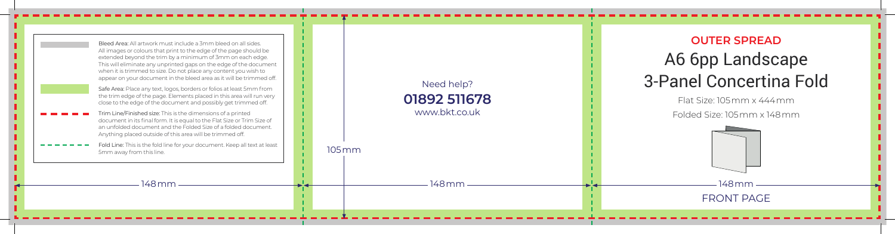| Bleed Area: All artwork must include a 3mm bleed on all sides.<br>All images or colours that print to the edge of the page should be<br>extended beyond the trim by a minimum of 3mm on each edge.<br>This will eliminate any unprinted gaps on the edge of the document<br>when it is trimmed to size. Do not place any content you wish to<br>appear on your document in the bleed area as it will be trimmed off.<br>Safe Area: Place any text, logos, borders or folios at least 5mm from<br>the trim edge of the page. Elements placed in this area will run very<br>close to the edge of the document and possibly get trimmed off.<br>Trim Line/Finished size: This is the dimensions of a printed<br>document in its final form. It is equal to the Flat Size or Trim Size of<br>an unfolded document and the Folded Size of a folded document.<br>Anything placed outside of this area will be trimmed off.<br>Fold Line: This is the fold line for your document. Keep all text at least<br>5mm away from this line. | $105 \,\mathrm{mm}$ | Need help?<br>01892 511678<br>www.bkt.co.uk | <b>OUTER SPF</b><br>A6 6pp Lan<br>3-Panel Conce<br>Flat Size: 105mm :<br>Folded Size: 105 mn |
|--------------------------------------------------------------------------------------------------------------------------------------------------------------------------------------------------------------------------------------------------------------------------------------------------------------------------------------------------------------------------------------------------------------------------------------------------------------------------------------------------------------------------------------------------------------------------------------------------------------------------------------------------------------------------------------------------------------------------------------------------------------------------------------------------------------------------------------------------------------------------------------------------------------------------------------------------------------------------------------------------------------------------------|---------------------|---------------------------------------------|----------------------------------------------------------------------------------------------|
| 148 mm                                                                                                                                                                                                                                                                                                                                                                                                                                                                                                                                                                                                                                                                                                                                                                                                                                                                                                                                                                                                                         |                     | 148 mm                                      | 148 mm<br><b>FRONT PA</b>                                                                    |

FRONT PAGE

## **OUTER SPREAD** A6 6pp Landscape 3-Panel Concertina Fold

Flat Size: 105mm x 444mm

Folded Size: 105mm x 148mm